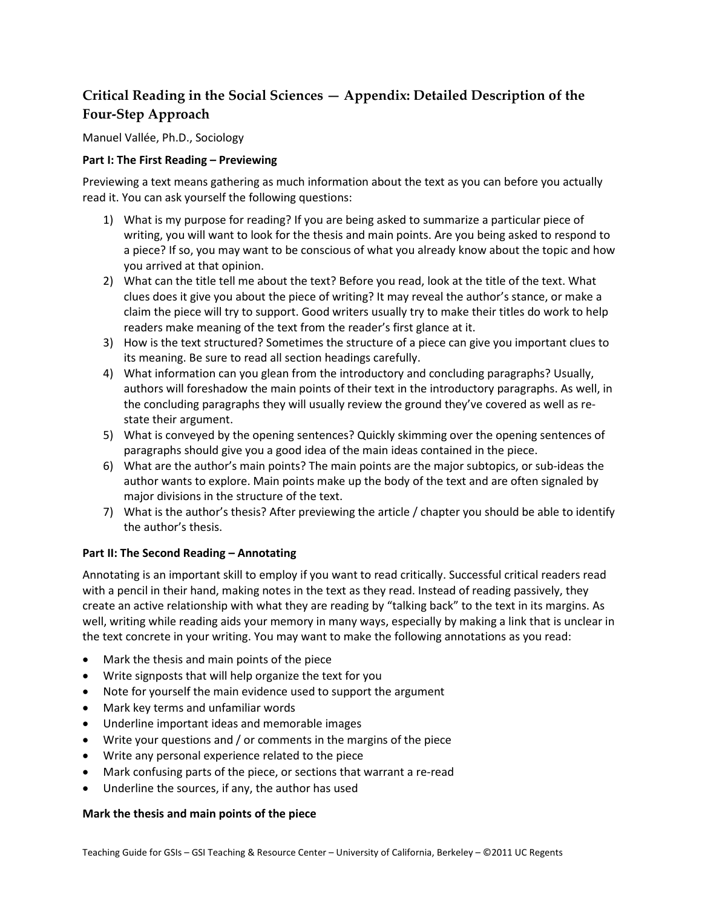# **Critical Reading in the Social Sciences — Appendix: Detailed Description of the Four-Step Approach**

Manuel Vallée, Ph.D., Sociology

# **Part I: The First Reading – Previewing**

Previewing a text means gathering as much information about the text as you can before you actually read it. You can ask yourself the following questions:

- 1) What is my purpose for reading? If you are being asked to summarize a particular piece of writing, you will want to look for the thesis and main points. Are you being asked to respond to a piece? If so, you may want to be conscious of what you already know about the topic and how you arrived at that opinion.
- 2) What can the title tell me about the text? Before you read, look at the title of the text. What clues does it give you about the piece of writing? It may reveal the author's stance, or make a claim the piece will try to support. Good writers usually try to make their titles do work to help readers make meaning of the text from the reader's first glance at it.
- 3) How is the text structured? Sometimes the structure of a piece can give you important clues to its meaning. Be sure to read all section headings carefully.
- 4) What information can you glean from the introductory and concluding paragraphs? Usually, authors will foreshadow the main points of their text in the introductory paragraphs. As well, in the concluding paragraphs they will usually review the ground they've covered as well as restate their argument.
- 5) What is conveyed by the opening sentences? Quickly skimming over the opening sentences of paragraphs should give you a good idea of the main ideas contained in the piece.
- 6) What are the author's main points? The main points are the major subtopics, or sub-ideas the author wants to explore. Main points make up the body of the text and are often signaled by major divisions in the structure of the text.
- 7) What is the author's thesis? After previewing the article / chapter you should be able to identify the author's thesis.

# **Part II: The Second Reading – Annotating**

Annotating is an important skill to employ if you want to read critically. Successful critical readers read with a pencil in their hand, making notes in the text as they read. Instead of reading passively, they create an active relationship with what they are reading by "talking back" to the text in its margins. As well, writing while reading aids your memory in many ways, especially by making a link that is unclear in the text concrete in your writing. You may want to make the following annotations as you read:

- Mark the thesis and main points of the piece
- Write signposts that will help organize the text for you
- Note for yourself the main evidence used to support the argument
- Mark key terms and unfamiliar words
- Underline important ideas and memorable images
- Write your questions and / or comments in the margins of the piece
- Write any personal experience related to the piece
- Mark confusing parts of the piece, or sections that warrant a re-read
- Underline the sources, if any, the author has used

# **Mark the thesis and main points of the piece**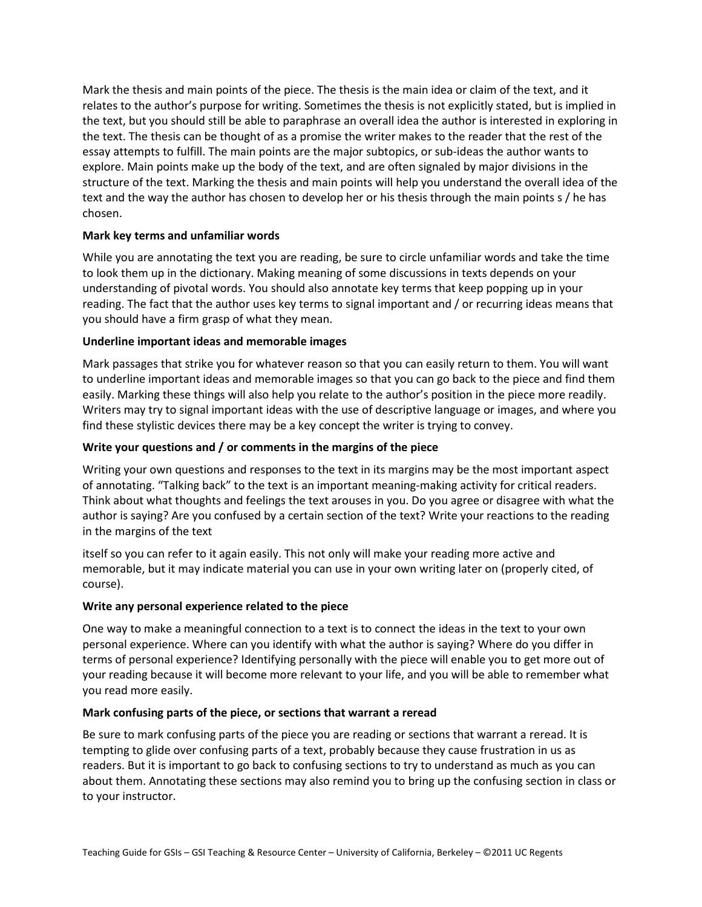Mark the thesis and main points of the piece. The thesis is the main idea or claim of the text, and it relates to the author's purpose for writing. Sometimes the thesis is not explicitly stated, but is implied in the text, but you should still be able to paraphrase an overall idea the author is interested in exploring in the text. The thesis can be thought of as a promise the writer makes to the reader that the rest of the essay attempts to fulfill. The main points are the major subtopics, or sub-ideas the author wants to explore. Main points make up the body of the text, and are often signaled by major divisions in the structure of the text. Marking the thesis and main points will help you understand the overall idea of the text and the way the author has chosen to develop her or his thesis through the main points s / he has chosen.

# **Mark key terms and unfamiliar words**

While you are annotating the text you are reading, be sure to circle unfamiliar words and take the time to look them up in the dictionary. Making meaning of some discussions in texts depends on your understanding of pivotal words. You should also annotate key terms that keep popping up in your reading. The fact that the author uses key terms to signal important and / or recurring ideas means that you should have a firm grasp of what they mean.

#### **Underline important ideas and memorable images**

Mark passages that strike you for whatever reason so that you can easily return to them. You will want to underline important ideas and memorable images so that you can go back to the piece and find them easily. Marking these things will also help you relate to the author's position in the piece more readily. Writers may try to signal important ideas with the use of descriptive language or images, and where you find these stylistic devices there may be a key concept the writer is trying to convey.

## **Write your questions and / or comments in the margins of the piece**

Writing your own questions and responses to the text in its margins may be the most important aspect of annotating. "Talking back" to the text is an important meaning-making activity for critical readers. Think about what thoughts and feelings the text arouses in you. Do you agree or disagree with what the author is saying? Are you confused by a certain section of the text? Write your reactions to the reading in the margins of the text

itself so you can refer to it again easily. This not only will make your reading more active and memorable, but it may indicate material you can use in your own writing later on (properly cited, of course).

#### **Write any personal experience related to the piece**

One way to make a meaningful connection to a text is to connect the ideas in the text to your own personal experience. Where can you identify with what the author is saying? Where do you differ in terms of personal experience? Identifying personally with the piece will enable you to get more out of your reading because it will become more relevant to your life, and you will be able to remember what you read more easily.

#### **Mark confusing parts of the piece, or sections that warrant a reread**

Be sure to mark confusing parts of the piece you are reading or sections that warrant a reread. It is tempting to glide over confusing parts of a text, probably because they cause frustration in us as readers. But it is important to go back to confusing sections to try to understand as much as you can about them. Annotating these sections may also remind you to bring up the confusing section in class or to your instructor.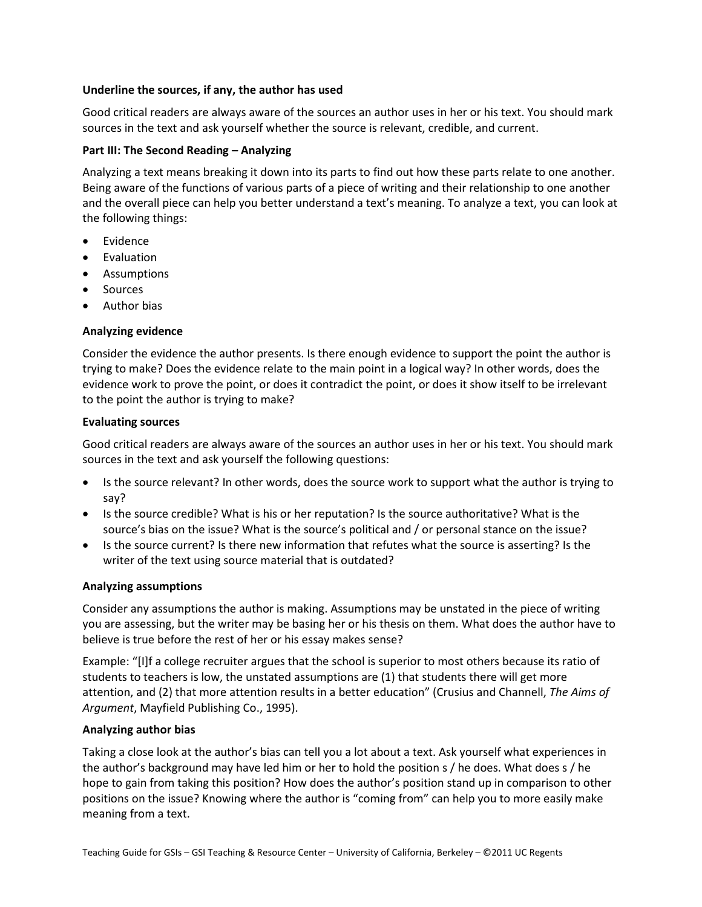# **Underline the sources, if any, the author has used**

Good critical readers are always aware of the sources an author uses in her or his text. You should mark sources in the text and ask yourself whether the source is relevant, credible, and current.

## **Part III: The Second Reading – Analyzing**

Analyzing a text means breaking it down into its parts to find out how these parts relate to one another. Being aware of the functions of various parts of a piece of writing and their relationship to one another and the overall piece can help you better understand a text's meaning. To analyze a text, you can look at the following things:

- Evidence
- **Evaluation**
- Assumptions
- Sources
- Author bias

# **Analyzing evidence**

Consider the evidence the author presents. Is there enough evidence to support the point the author is trying to make? Does the evidence relate to the main point in a logical way? In other words, does the evidence work to prove the point, or does it contradict the point, or does it show itself to be irrelevant to the point the author is trying to make?

## **Evaluating sources**

Good critical readers are always aware of the sources an author uses in her or his text. You should mark sources in the text and ask yourself the following questions:

- Is the source relevant? In other words, does the source work to support what the author is trying to say?
- Is the source credible? What is his or her reputation? Is the source authoritative? What is the source's bias on the issue? What is the source's political and / or personal stance on the issue?
- Is the source current? Is there new information that refutes what the source is asserting? Is the writer of the text using source material that is outdated?

#### **Analyzing assumptions**

Consider any assumptions the author is making. Assumptions may be unstated in the piece of writing you are assessing, but the writer may be basing her or his thesis on them. What does the author have to believe is true before the rest of her or his essay makes sense?

Example: "[I]f a college recruiter argues that the school is superior to most others because its ratio of students to teachers is low, the unstated assumptions are (1) that students there will get more attention, and (2) that more attention results in a better education" (Crusius and Channell, *The Aims of Argument*, Mayfield Publishing Co., 1995).

#### **Analyzing author bias**

Taking a close look at the author's bias can tell you a lot about a text. Ask yourself what experiences in the author's background may have led him or her to hold the position s / he does. What does s / he hope to gain from taking this position? How does the author's position stand up in comparison to other positions on the issue? Knowing where the author is "coming from" can help you to more easily make meaning from a text.